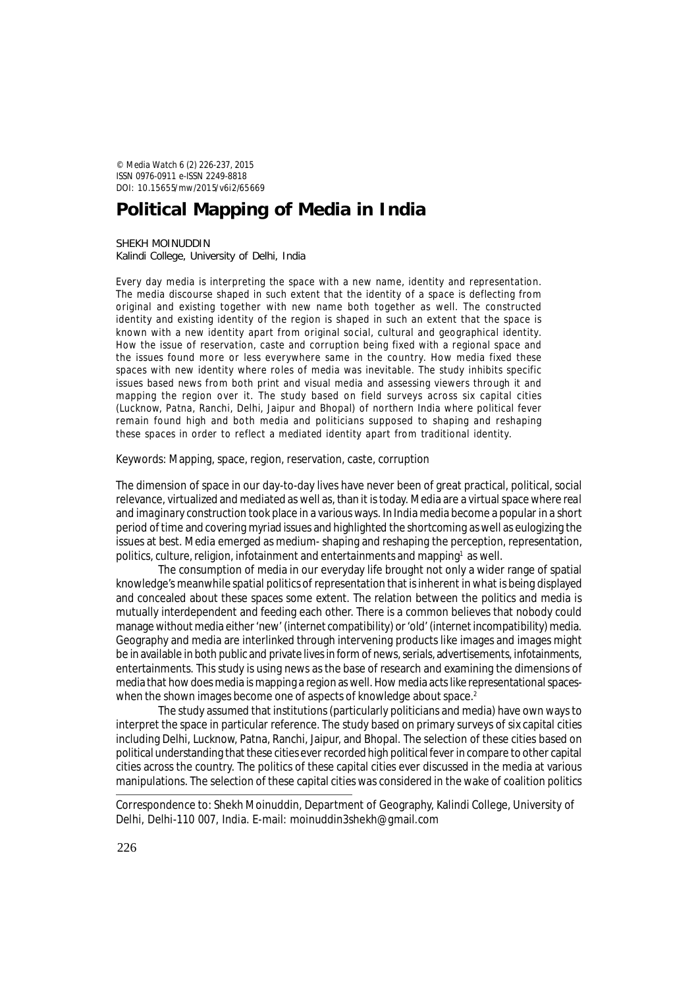© *Media Watch* 6 (2) 226-237, 2015 ISSN 0976-0911 e-ISSN 2249-8818 DOI: 10.15655/mw/2015/v6i2/65669

# **Political Mapping of Media in India**

SHEKH MOINUDDIN Kalindi College, University of Delhi, India

Every day media is interpreting the space with a new name, identity and representation. The media discourse shaped in such extent that the identity of a space is deflecting from original and existing together with new name both together as well. The constructed identity and existing identity of the region is shaped in such an extent that the space is known with a new identity apart from original social, cultural and geographical identity. How the issue of reservation, caste and corruption being fixed with a regional space and the issues found more or less everywhere same in the country. How media fixed these spaces with new identity where roles of media was inevitable. The study inhibits specific issues based news from both print and visual media and assessing viewers through it and mapping the region over it. The study based on field surveys across six capital cities (Lucknow, Patna, Ranchi, Delhi, Jaipur and Bhopal) of northern India where political fever remain found high and both media and politicians supposed to shaping and reshaping these spaces in order to reflect a mediated identity apart from traditional identity.

Keywords: Mapping, space, region, reservation, caste, corruption

The dimension of space in our day-to-day lives have never been of great practical, political, social relevance, virtualized and mediated as well as, than it is today. Media are a virtual space where *real* and *imaginary* construction took place in a various ways. In India media become a popular in a short period of time and covering myriad issues and highlighted the shortcoming as well as eulogizing the issues at best. Media emerged as medium- shaping and reshaping the perception, representation, politics, culture, religion, infotainment and entertainments and mapping<sup>1</sup> as well.

The consumption of media in our everyday life brought not only a wider range of spatial knowledge's meanwhile spatial politics of representation that is inherent in what is being displayed and concealed about these spaces some extent*.* The relation between the politics and media is mutually interdependent and feeding each other. There is a common believes that nobody could manage without media either 'new' (internet compatibility) or 'old' (internet incompatibility) media. Geography and media are interlinked through intervening products like images and images might be in available in both public and private lives in form of news, serials, advertisements, infotainments, entertainments. This study is using news as the base of research and examining the dimensions of media that how does media is mapping a region as well. How media acts like representational spaceswhen the shown images become one of aspects of knowledge about space.<sup>2</sup>

The study assumed that institutions (particularly politicians and media) have own ways to interpret the space in particular reference. The study based on primary surveys of six capital cities including Delhi, Lucknow, Patna, Ranchi, Jaipur, and Bhopal. The selection of these cities based on political understanding that these cities ever recorded high political fever in compare to other capital cities across the country. The politics of these capital cities ever discussed in the media at various manipulations. The selection of these capital cities was considered in the wake of coalition politics

Correspondence to: Shekh Moinuddin, Department of Geography, Kalindi College, University of Delhi, Delhi-110 007, India. E-mail: moinuddin3shekh@gmail.com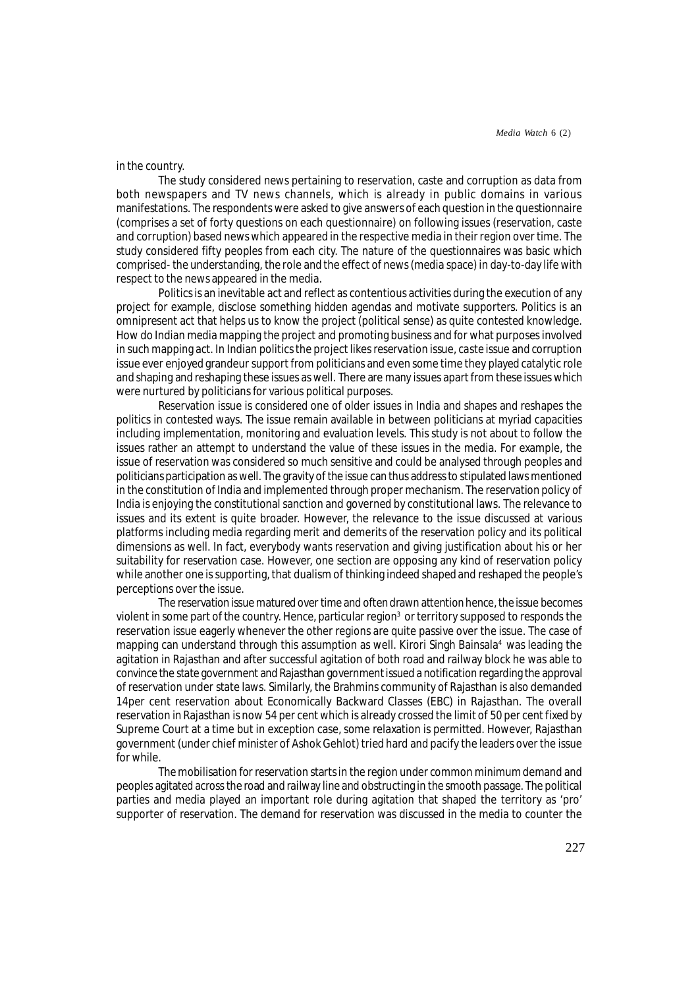# in the country.

The study considered *news* pertaining to reservation, caste and corruption as data from both newspapers and TV news channels, which is already in public domains in various manifestations. The respondents were asked to give answers of each question in the questionnaire (comprises a set of forty questions on each questionnaire) on following issues (reservation, caste and corruption) based news which appeared in the respective media in their region over time. The study considered fifty peoples from each city. The nature of the questionnaires was basic which comprised- the understanding, the role and the effect of news (media space) in day-to-day life with respect to the news appeared in the media.

Politics is an inevitable act and reflect as contentious activities during the execution of any project for example, disclose something hidden agendas and motivate supporters. Politics is an omnipresent act that helps us to know the project (political sense) as quite contested knowledge. How do Indian media mapping the project and promoting business and for what purposes involved in such mapping act. In Indian politics the project likes *reservation* issue, *caste* issue and *corruption* issue ever enjoyed grandeur support from politicians and even some time they played catalytic role and shaping and reshaping these issues as well. There are many issues apart from these issues which were nurtured by politicians for various political purposes.

Reservation issue is considered one of older issues in India and shapes and reshapes the politics in contested ways. The issue remain available in between politicians at myriad capacities including implementation, monitoring and evaluation levels. This study is not about to follow the issues rather an attempt to understand the value of these issues in the media. For example, the issue of reservation was considered so much sensitive and could be analysed through peoples and politicians participation as well. The gravity of the issue can thus address to stipulated laws mentioned in the constitution of India and implemented through proper mechanism. The reservation policy of India is enjoying the constitutional sanction and governed by constitutional laws. The relevance to issues and its extent is quite broader. However, the relevance to the issue discussed at various platforms including media regarding merit and demerits of the reservation policy and its political dimensions as well. In fact, everybody wants reservation and giving justification about his or her suitability for reservation case. However, one section are opposing any kind of reservation policy while another one is supporting, that dualism of thinking indeed shaped and reshaped the people's perceptions over the issue.

The reservation issue matured over time and often drawn attention hence, the issue becomes violent in some part of the country. Hence, particular region $^3$  or territory supposed to responds the reservation issue eagerly whenever the other regions are quite passive over the issue. The case of mapping can understand through this assumption as well. Kirori Singh Bainsala<sup>4</sup> was leading the agitation in Rajasthan and after successful agitation of both road and railway block he was able to convince the state government and Rajasthan government issued a notification regarding the approval of reservation under state laws. Similarly, the Brahmins community of Rajasthan is also demanded 14per cent reservation about Economically Backward Classes (EBC) in Rajasthan. The overall reservation in Rajasthan is now 54 per cent which is already crossed the limit of 50 per cent fixed by Supreme Court at a time but in exception case, some relaxation is permitted. However, Rajasthan government (under chief minister of Ashok Gehlot) tried hard and pacify the leaders over the issue for while.

The mobilisation for reservation starts in the region under common minimum demand and peoples agitated across the road and railway line and obstructing in the smooth passage. The political parties and media played an important role during agitation that shaped the territory as 'pro' supporter of reservation. The demand for reservation was discussed in the media to counter the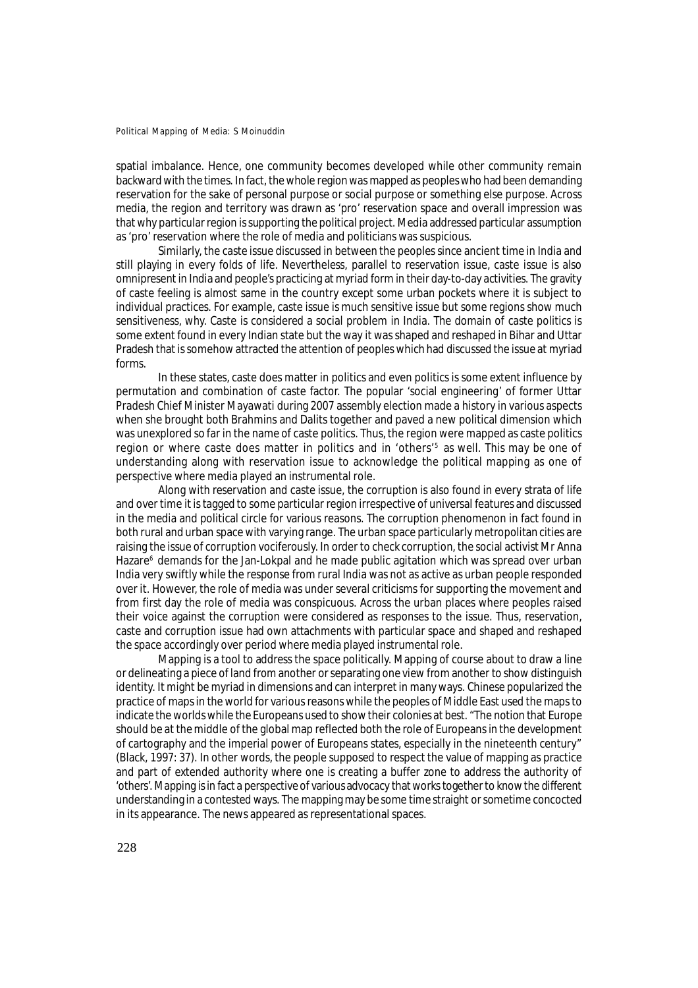spatial imbalance. Hence, one community becomes developed while other community remain backward with the times. In fact, the whole region was mapped as peoples who had been demanding reservation for the sake of personal purpose or social purpose or something else purpose. Across media, the region and territory was drawn as 'pro' reservation space and overall impression was that why particular region is supporting the political project. Media addressed particular assumption as 'pro' reservation where the role of media and politicians was suspicious.

Similarly, the caste issue discussed in between the peoples since ancient time in India and still playing in every folds of life. Nevertheless, parallel to reservation issue, caste issue is also omnipresent in India and people's practicing at myriad form in their day-to-day activities. The gravity of caste feeling is almost same in the country except some urban pockets where it is subject to individual practices. For example, caste issue is much sensitive issue but some regions show much sensitiveness, why. Caste is considered a social problem in India. The domain of caste politics is some extent found in every Indian state but the way it was shaped and reshaped in Bihar and Uttar Pradesh that is somehow attracted the attention of peoples which had discussed the issue at myriad forms.

In these states, caste does matter in politics and even politics is some extent influence by permutation and combination of caste factor. The popular 'social engineering' of former Uttar Pradesh Chief Minister Mayawati during 2007 assembly election made a history in various aspects when she brought both Brahmins and Dalits together and paved a new political dimension which was unexplored so far in the name of caste politics. Thus, the region were mapped as caste politics region or where caste does matter in politics and in 'others'<sup>5</sup> as well. This may be one of understanding along with reservation issue to acknowledge the political mapping as one of perspective where media played an instrumental role.

Along with reservation and caste issue, the corruption is also found in every strata of life and over time it is tagged to some particular region irrespective of universal features and discussed in the media and political circle for various reasons. The corruption phenomenon in fact found in both rural and urban space with varying range. The urban space particularly metropolitan cities are raising the issue of corruption vociferously. In order to check corruption, the social activist Mr Anna Hazare<sup>6</sup> demands for the Jan-Lokpal and he made public agitation which was spread over urban India very swiftly while the response from rural India was not as active as urban people responded over it. However, the role of media was under several criticisms for supporting the movement and from first day the role of media was conspicuous. Across the urban places where peoples raised their voice against the corruption were considered as responses to the issue. Thus, reservation, caste and corruption issue had own attachments with particular space and shaped and reshaped the space accordingly over period where media played instrumental role.

Mapping is a tool to address the space politically. Mapping of course about to draw a line or delineating a piece of land from another or separating one view from another to show distinguish identity. It might be myriad in dimensions and can interpret in many ways. Chinese popularized the practice of maps in the world for various reasons while the peoples of Middle East used the maps to indicate the worlds while the Europeans used to show their colonies at best. "The notion that Europe should be at the middle of the global map reflected both the role of Europeans in the development of cartography and the imperial power of Europeans states, especially in the nineteenth century" (Black, 1997: 37). In other words, the people supposed to respect the value of mapping as practice and part of extended authority where one is creating a buffer zone to address the authority of 'others'. Mapping is in fact a perspective of various advocacy that works together to know the different understanding in a contested ways. The mapping may be some time straight or sometime concocted in its appearance. The news appeared as representational spaces.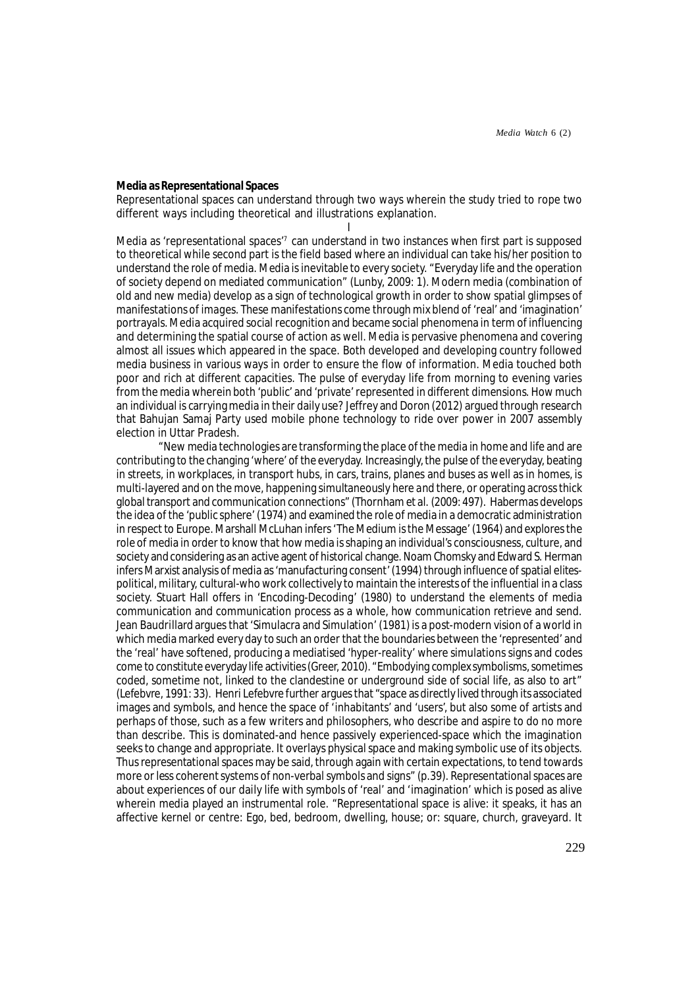# **Media as Representational Spaces**

Representational spaces can understand through two ways wherein the study tried to rope two different ways including theoretical and illustrations explanation.

I Media as 'representational spaces'<sup>7</sup> can understand in two instances when first part is supposed to theoretical while second part is the field based where an individual can take his/her position to understand the role of media. Media is inevitable to every society. "Everyday life and the operation of society depend on mediated communication" (Lunby, 2009: 1). Modern media (combination of old and new media) develop as a sign of technological growth in order to show spatial glimpses of manifestations of *images*. These manifestations come through mix blend of 'real' and 'imagination' portrayals. Media acquired social recognition and became social phenomena in term of influencing and determining the spatial course of action as well. Media is pervasive phenomena and covering almost all issues which appeared in the space. Both developed and developing country followed media business in various ways in order to ensure the flow of information. Media touched both poor and rich at different capacities. The pulse of everyday life from morning to evening varies from the media wherein both 'public' and 'private' represented in different dimensions. How much an individual is carrying media in their daily use? Jeffrey and Doron (2012) argued through research that Bahujan Samaj Party used mobile phone technology to ride over power in 2007 assembly election in Uttar Pradesh.

"New media technologies are transforming the place of the media in home and life and are contributing to the changing 'where' of the everyday. Increasingly, the pulse of the everyday, beating in streets, in workplaces, in transport hubs, in cars, trains, planes and buses as well as in homes, is multi-layered and on the move, happening simultaneously here *and* there, or operating across thick global transport and communication connections" (Thornham et al. (2009: 497). Habermas develops the idea of the *'*public sphere' (1974) and examined the role of media in a democratic administration in respect to Europe. Marshall McLuhan infers 'The Medium is the Message' (1964) and explores the role of media in order to know that how media is shaping an individual's consciousness, culture, and society and considering as an active agent of historical change. Noam Chomsky and Edward S. Herman infers Marxist analysis of media as 'manufacturing consent' (1994) through influence of spatial elitespolitical, military, cultural-who work collectively to maintain the interests of the influential in a class society. Stuart Hall offers in 'Encoding-Decoding' (1980) to understand the elements of media communication and communication process as a whole, how communication retrieve and send. Jean Baudrillard argues that 'Simulacra and Simulation' (1981) is a post-modern vision of a world in which media marked every day to such an order that the boundaries between the 'represented' and the 'real' have softened, producing a mediatised 'hyper-reality' where simulations signs and codes come to constitute everyday life activities (Greer, 2010). "Embodying complex symbolisms, sometimes coded, sometime not, linked to the clandestine or underground side of social life, as also to art" (Lefebvre, 1991: 33). Henri Lefebvre further argues that "space as directly *lived* through its associated images and symbols, and hence the space of 'inhabitants' and 'users', but also some of artists and perhaps of those, such as a few writers and philosophers, who describe and aspire to do no more than describe. This is dominated-and hence passively experienced-space which the imagination seeks to change and appropriate. It overlays physical space and making symbolic use of its objects. Thus representational spaces may be said, through again with certain expectations, to tend towards more or less coherent systems of non-verbal symbols and signs" (p.39). Representational spaces are about experiences of our daily life with symbols of 'real' and 'imagination' which is posed as alive wherein media played an instrumental role. "Representational space is alive: it speaks, it has an affective kernel or centre: Ego, bed, bedroom, dwelling, house; or: square, church, graveyard. It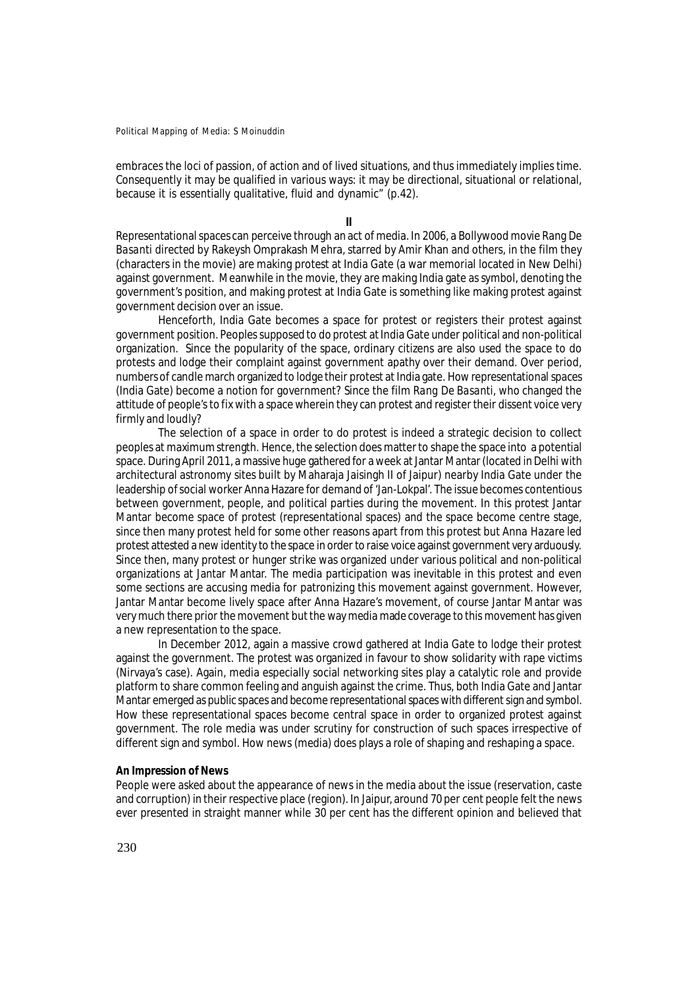embraces the loci of passion, of action and of lived situations, and thus immediately implies time. Consequently it may be qualified in various ways: it may be directional, situational or relational, because it is essentially qualitative, fluid and dynamic" (p.42).

**II**

Representational spaces can perceive through an act of media. In 2006, a Bollywood movie *Rang De Basanti* directed by Rakeysh Omprakash Mehra, starred by Amir Khan and others, in the film they (characters in the movie) are making protest at India Gate (a war memorial located in New Delhi) against government. Meanwhile in the movie, they are making India gate as symbol, denoting the government's position, and making protest at India Gate is something like making protest against government decision over an issue.

Henceforth, India Gate becomes a space for protest or registers their protest against government position. Peoples supposed to do protest at India Gate under political and non-political organization. Since the popularity of the space, ordinary citizens are also used the space to do protests and lodge their complaint against government apathy over their demand. Over period, numbers of candle march organized to lodge their protest at India gate. How representational spaces (India Gate) become a notion for government? Since the film *Rang De Basanti,* who changed the attitude of people's to fix with a space wherein they can protest and register their dissent voice very firmly and loudly?

The selection of a space in order to do protest is indeed a strategic decision to collect peoples at maximum strength. Hence, the selection does matter to shape the space into a potential space. During April 2011, a massive huge gathered for a week at Jantar Mantar (located in Delhi with architectural astronomy sites built by Maharaja Jaisingh II of Jaipur) nearby India Gate under the leadership of social worker Anna Hazare for demand of 'Jan-Lokpal*'.* The issue becomes contentious between government, people, and political parties during the movement. In this protest Jantar Mantar become space of protest (representational spaces) and the space become centre stage, since then many protest held for some other reasons apart from this protest but *Anna Hazare* led protest attested a new identity to the space in order to raise voice against government very arduously. Since then, many protest or hunger strike was organized under various political and non-political organizations at Jantar Mantar. The media participation was inevitable in this protest and even some sections are accusing media for patronizing this movement against government. However, Jantar Mantar become lively space after Anna Hazare's movement, of course Jantar Mantar was very much there prior the movement but the way media made coverage to this movement has given a new representation to the space.

In December 2012, again a massive crowd gathered at India Gate to lodge their protest against the government. The protest was organized in favour to show solidarity with rape victims (Nirvaya's case). Again, media especially social networking sites play a catalytic role and provide platform to share common feeling and anguish against the crime. Thus, both India Gate and Jantar Mantar emerged as public spaces and become representational spaces with different sign and symbol. How these representational spaces become central space in order to organized protest against government. The role media was under scrutiny for construction of such spaces irrespective of different sign and symbol. How news (media) does plays a role of shaping and reshaping a space.

### **An Impression of News**

People were asked about the appearance of news in the media about the issue (reservation, caste and corruption) in their respective place (region). In Jaipur, around 70 per cent people felt the news ever presented in straight manner while 30 per cent has the different opinion and believed that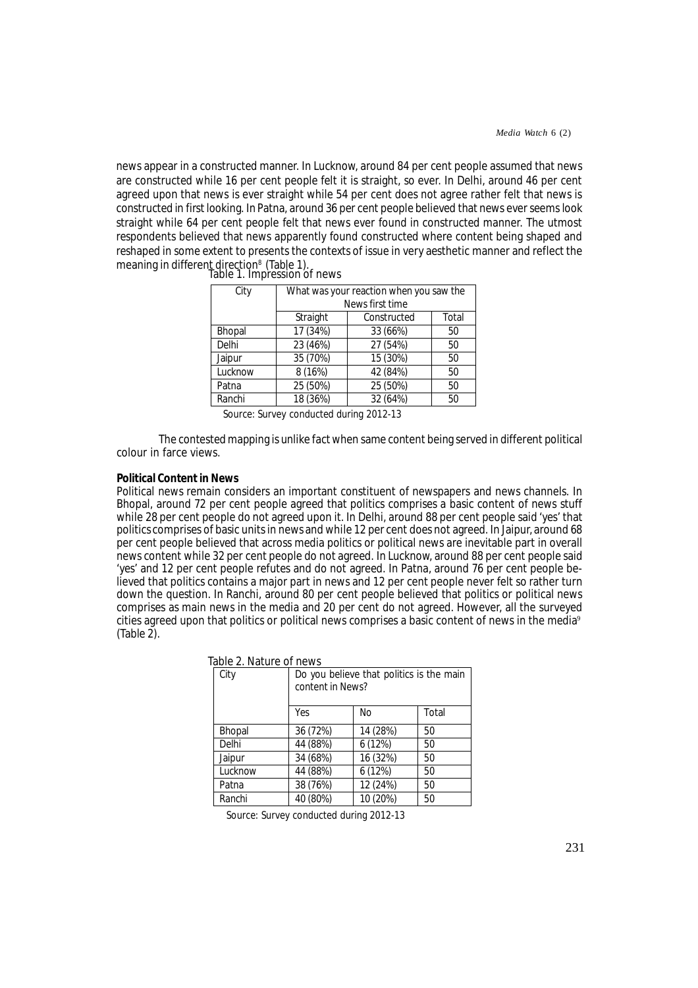news appear in a constructed manner. In Lucknow, around 84 per cent people assumed that news are constructed while 16 per cent people felt it is straight, so ever. In Delhi, around 46 per cent agreed upon that news is ever straight while 54 per cent does not agree rather felt that news is constructed in first looking. In Patna, around 36 per cent people believed that news ever seems look straight while 64 per cent people felt that news ever found in constructed manner. The utmost respondents believed that news apparently found constructed where content being shaped and reshaped in some extent to presents the contexts of issue in very aesthetic manner and reflect the meaning in different direction<sup>8</sup> (Table 1).<br>Table 1. Impression of news

| City          | What was your reaction when you saw the<br>News first time |          |    |
|---------------|------------------------------------------------------------|----------|----|
|               | Total<br>Straight<br>Constructed                           |          |    |
| <b>Bhopal</b> | 17 (34%)                                                   | 33 (66%) | 50 |
| Delhi         | 23 (46%)                                                   | 27 (54%) | 50 |
| Jaipur        | 35 (70%)                                                   | 15 (30%) | 50 |
| Lucknow       | 8(16%)                                                     | 42 (84%) | 50 |
| Patna         | 25 (50%)                                                   | 25 (50%) | 50 |
| Ranchi        | 18 (36%)                                                   | 32 (64%) | 50 |

Source: Survey conducted during 2012-13

The contested mapping is unlike fact when same content being served in different political colour in farce views.

# **Political Content in News**

Political news remain considers an important constituent of newspapers and news channels. In Bhopal, around 72 per cent people agreed that politics comprises a basic content of news stuff while 28 per cent people do not agreed upon it. In Delhi, around 88 per cent people said 'yes' that politics comprises of basic units in news and while 12 per cent does not agreed. In Jaipur, around 68 per cent people believed that across media politics or political news are inevitable part in overall news content while 32 per cent people do not agreed. In Lucknow, around 88 per cent people said 'yes' and 12 per cent people refutes and do not agreed. In Patna, around 76 per cent people believed that politics contains a major part in news and 12 per cent people never felt so rather turn down the question. In Ranchi, around 80 per cent people believed that politics or political news comprises as main news in the media and 20 per cent do not agreed. However, all the surveyed cities agreed upon that politics or political news comprises a basic content of news in the media<sup>9</sup> (Table 2).

| <u>IANIC Z. INALUIC UI LICWS</u> |                                                              |          |       |
|----------------------------------|--------------------------------------------------------------|----------|-------|
| City                             | Do you believe that politics is the main<br>content in News? |          |       |
|                                  | Yes                                                          | No.      | Total |
| <b>Bhopal</b>                    | 36 (72%)                                                     | 14 (28%) | 50    |
| Delhi                            | 44 (88%)                                                     | 6(12%)   | 50    |
| Jaipur                           | 34 (68%)                                                     | 16 (32%) | 50    |
| Lucknow                          | 44 (88%)                                                     | 6(12%)   | 50    |
| Patna                            | 38 (76%)                                                     | 12 (24%) | 50    |
| Ranchi                           | 40 (80%)                                                     | 10 (20%) | 50    |

Table 2. Nature of news

Source: Survey conducted during 2012-13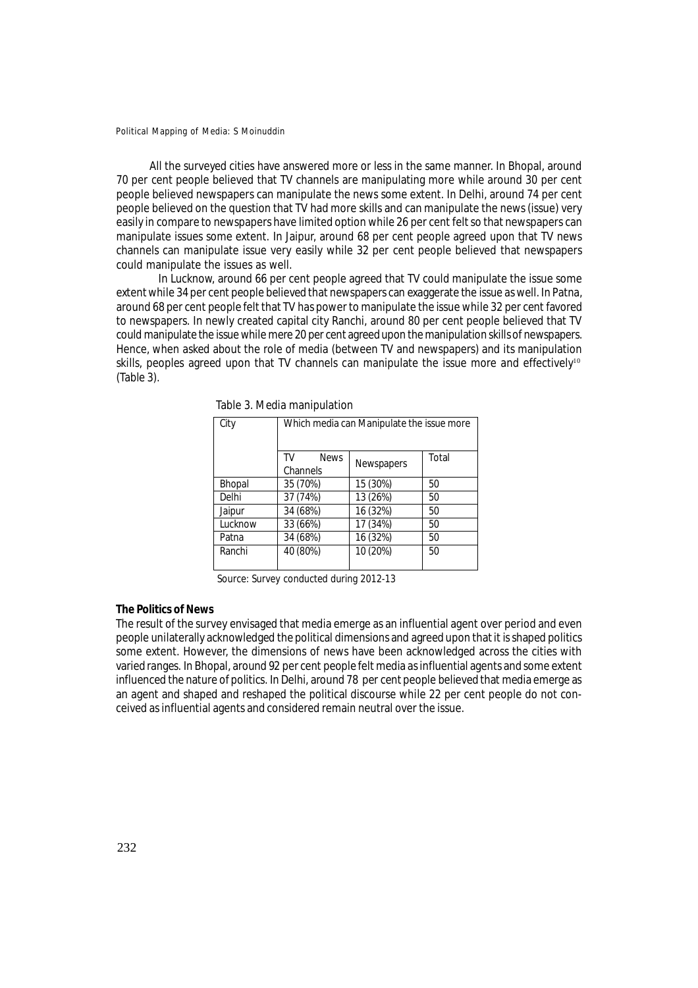All the surveyed cities have answered more or less in the same manner. In Bhopal, around 70 per cent people believed that TV channels are manipulating more while around 30 per cent people believed newspapers can manipulate the news some extent. In Delhi, around 74 per cent people believed on the question that TV had more skills and can manipulate the news (issue) very easily in compare to newspapers have limited option while 26 per cent felt so that newspapers can manipulate issues some extent. In Jaipur, around 68 per cent people agreed upon that TV news channels can manipulate issue very easily while 32 per cent people believed that newspapers could manipulate the issues as well.

In Lucknow, around 66 per cent people agreed that TV could manipulate the issue some extent while 34 per cent people believed that newspapers can exaggerate the issue as well. In Patna, around 68 per cent people felt that TV has power to manipulate the issue while 32 per cent favored to newspapers. In newly created capital city Ranchi, around 80 per cent people believed that TV could manipulate the issue while mere 20 per cent agreed upon the manipulation skills of newspapers. Hence, when asked about the role of media (between TV and newspapers) and its manipulation skills, peoples agreed upon that TV channels can manipulate the issue more and effectively<sup>10</sup> (Table 3).

| City    | Which media can Manipulate the issue more |                   |       |  |
|---------|-------------------------------------------|-------------------|-------|--|
|         | <b>News</b><br>TV<br>Channels             | <b>Newspapers</b> | Total |  |
| Bhopal  | 35 (70%)                                  | 15 (30%)          | 50    |  |
| Delhi   | 37 (74%)                                  | 13 (26%)          | 50    |  |
| Jaipur  | 34 (68%)                                  | 16 (32%)          | 50    |  |
| Lucknow | 33 (66%)                                  | 17 (34%)          | 50    |  |
| Patna   | 34 (68%)                                  | 16 (32%)          | 50    |  |
| Ranchi  | 40 (80%)                                  | 10 (20%)          | 50    |  |

Table 3. Media manipulation

Source: Survey conducted during 2012-13

# **The Politics of News**

The result of the survey envisaged that media emerge as an influential agent over period and even people unilaterally acknowledged the political dimensions and agreed upon that it is shaped politics some extent. However, the dimensions of news have been acknowledged across the cities with varied ranges. In Bhopal, around 92 per cent people felt media as influential agents and some extent influenced the nature of politics. In Delhi, around 78 per cent people believed that media emerge as an agent and shaped and reshaped the political discourse while 22 per cent people do not conceived as influential agents and considered remain neutral over the issue.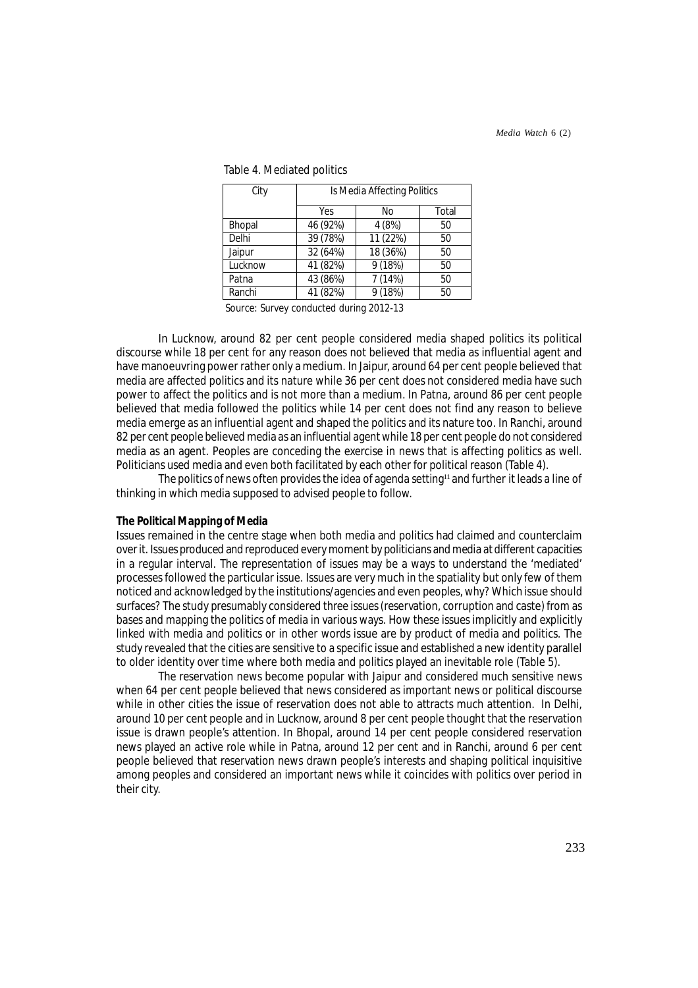| City          | Is Media Affecting Politics |          |       |
|---------------|-----------------------------|----------|-------|
|               |                             |          |       |
|               | Yes                         | No       | Total |
| <b>Bhopal</b> | 46 (92%)                    | 4 (8%)   | 50    |
| Delhi         | 39 (78%)                    | 11 (22%) | 50    |
| Jaipur        | 32 (64%)                    | 18 (36%) | 50    |
| Lucknow       | 41 (82%)                    | 9 (18%)  | 50    |
| Patna         | 43 (86%)                    | 7 (14%)  | 50    |
| Ranchi        | 41 (82%)                    | 9(18%)   | 50    |
|               |                             |          |       |

Table 4. Mediated politics

Source: Survey conducted during 2012-13

In Lucknow, around 82 per cent people considered media shaped politics its political discourse while 18 per cent for any reason does not believed that media as influential agent and have manoeuvring power rather only a medium. In Jaipur, around 64 per cent people believed that media are affected politics and its nature while 36 per cent does not considered media have such power to affect the politics and is not more than a medium. In Patna, around 86 per cent people believed that media followed the politics while 14 per cent does not find any reason to believe media emerge as an influential agent and shaped the politics and its nature too. In Ranchi, around 82 per cent people believed media as an influential agent while 18 per cent people do not considered media as an agent. Peoples are conceding the exercise in news that is affecting politics as well. Politicians used media and even both facilitated by each other for political reason (Table 4).

The politics of news often provides the idea of agenda setting<sup>11</sup> and further it leads a line of thinking in which media supposed to advised people to follow.

# **The Political Mapping of Media**

Issues remained in the centre stage when both media and politics had claimed and counterclaim over it. Issues produced and reproduced every moment by politicians and media at different capacities in a regular interval. The representation of issues may be a ways to understand the 'mediated' processes followed the particular issue. Issues are very much in the spatiality but only few of them noticed and acknowledged by the institutions/agencies and even peoples, why? Which issue should surfaces? The study presumably considered *three* issues (reservation, corruption and caste) from as bases and mapping the politics of media in various ways. How these issues implicitly and explicitly linked with media and politics or in other words issue are by product of media and politics. The study revealed that the cities are sensitive to a specific issue and established a new identity parallel to older identity over time where both media and politics played an inevitable role (Table 5).

The reservation news become popular with Jaipur and considered much sensitive news when 64 per cent people believed that news considered as important news or political discourse while in other cities the issue of reservation does not able to attracts much attention. In Delhi, around 10 per cent people and in Lucknow, around 8 per cent people thought that the reservation issue is drawn people's attention. In Bhopal, around 14 per cent people considered reservation news played an active role while in Patna, around 12 per cent and in Ranchi, around 6 per cent people believed that reservation news drawn people's interests and shaping political inquisitive among peoples and considered an important news while it coincides with politics over period in their city.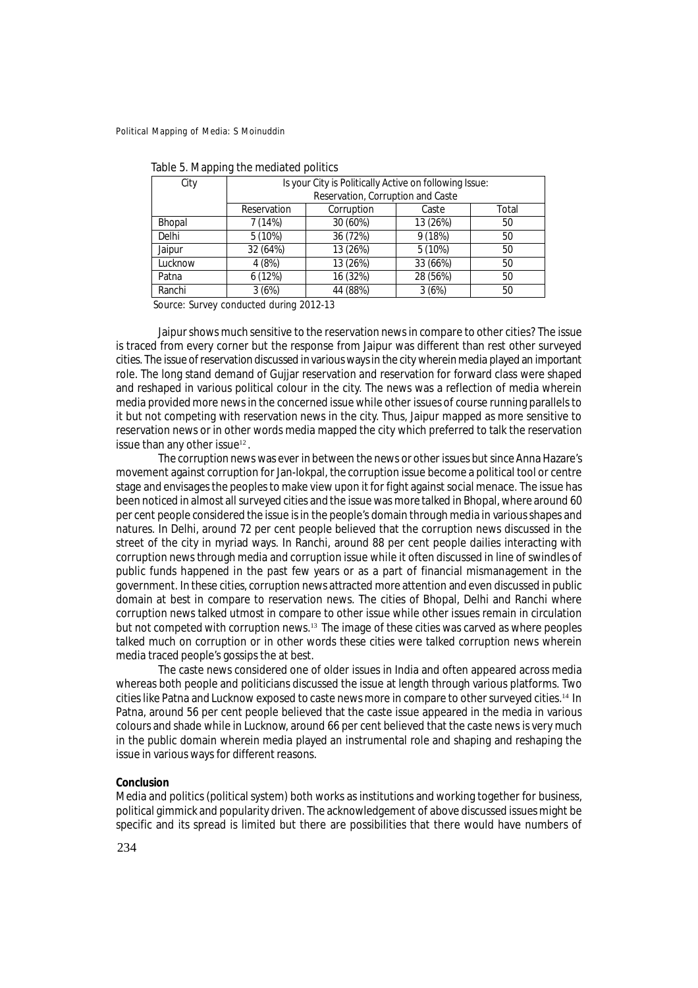| City         | Is your City is Politically Active on following Issue: |            |           |       |
|--------------|--------------------------------------------------------|------------|-----------|-------|
|              | Reservation, Corruption and Caste                      |            |           |       |
|              | Reservation                                            | Corruption | Caste     | Total |
| Bhopal       | 7 (14%)                                                | 30 (60%)   | 13 (26%)  | 50    |
| <b>Delhi</b> | $5(10\%)$                                              | 36 (72%)   | 9(18%)    | 50    |
| Jaipur       | 32 (64%)                                               | 13 (26%)   | $5(10\%)$ | 50    |
| Lucknow      | 4(8%)                                                  | 13 (26%)   | 33 (66%)  | 50    |
| Patna        | 6(12%)                                                 | 16 (32%)   | 28 (56%)  | 50    |
| Ranchi       | 3(6%)                                                  | 44 (88%)   | 3(6%)     | 50    |

| Table 5. Mapping the mediated politics |  |  |
|----------------------------------------|--|--|
|----------------------------------------|--|--|

Source: Survey conducted during 2012-13

Jaipur shows much sensitive to the reservation news in compare to other cities? The issue is traced from every corner but the response from Jaipur was different than rest other surveyed cities. The issue of reservation discussed in various ways in the city wherein media played an important role. The long stand demand of Gujjar reservation and reservation for forward class were shaped and reshaped in various political colour in the city. The news was a reflection of media wherein media provided more news in the concerned issue while other issues of course running parallels to it but not competing with reservation news in the city. Thus, Jaipur mapped as more sensitive to reservation news or in other words media mapped the city which preferred to talk the reservation issue than any other issue<sup>12</sup>.

The corruption news was ever in between the news or other issues but since Anna Hazare's movement against corruption for Jan-lokpal*,* the corruption issue become a political tool or centre stage and envisages the peoples to make view upon it for fight against social menace. The issue has been noticed in almost all surveyed cities and the issue was more talked in Bhopal, where around 60 per cent people considered the issue is in the people's domain through media in various shapes and natures. In Delhi, around 72 per cent people believed that the corruption news discussed in the street of the city in myriad ways. In Ranchi, around 88 per cent people dailies interacting with corruption news through media and corruption issue while it often discussed in line of swindles of public funds happened in the past few years or as a part of financial mismanagement in the government. In these cities, corruption news attracted more attention and even discussed in public domain at best in compare to reservation news. The cities of Bhopal, Delhi and Ranchi where corruption news talked utmost in compare to other issue while other issues remain in circulation but not competed with corruption news.<sup>13</sup> The image of these cities was carved as where peoples talked much on corruption or in other words these cities were talked corruption news wherein media traced people's gossips the at best.

The caste news considered one of older issues in India and often appeared across media whereas both people and politicians discussed the issue at length through various platforms. Two cities like Patna and Lucknow exposed to caste news more in compare to other surveyed cities.<sup>14</sup> In Patna, around 56 per cent people believed that the caste issue appeared in the media in various colours and shade while in Lucknow, around 66 per cent believed that the caste news is very much in the public domain wherein media played an instrumental role and shaping and reshaping the issue in various ways for different reasons.

# **Conclusion**

Media and politics (political system) both works as institutions and working together for business, political gimmick and popularity driven. The acknowledgement of above discussed issues might be specific and its spread is limited but there are possibilities that there would have numbers of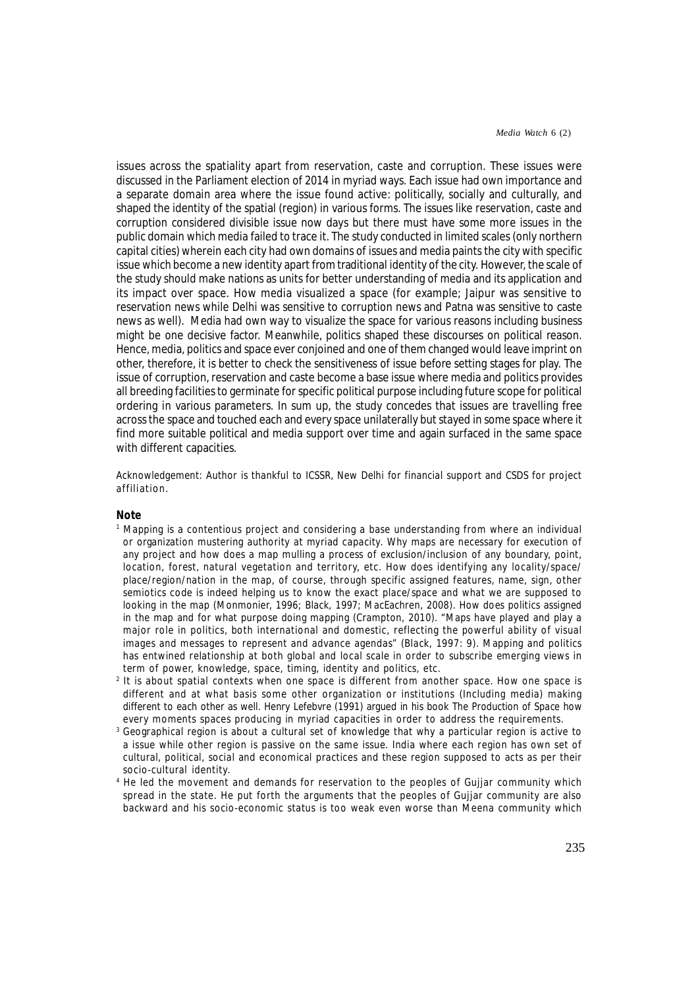issues across the spatiality apart from reservation, caste and corruption. These issues were discussed in the Parliament election of 2014 in myriad ways. Each issue had own importance and a separate domain area where the issue found active: politically, socially and culturally, and shaped the identity of the spatial (region) in various forms. The issues like reservation, caste and corruption considered divisible issue now days but there must have some more issues in the public domain which media failed to trace it. The study conducted in limited scales (only northern capital cities) wherein each city had own domains of issues and media paints the city with specific issue which become a new identity apart from traditional identity of the city. However, the scale of the study should make nations as units for better understanding of media and its application and its impact over space. How media visualized a space (for example; Jaipur was sensitive to reservation news while Delhi was sensitive to corruption news and Patna was sensitive to caste news as well). Media had own way to visualize the space for various reasons including business might be one decisive factor. Meanwhile, politics shaped these discourses on political reason. Hence, media, politics and space ever conjoined and one of them changed would leave imprint on other, therefore, it is better to check the sensitiveness of issue before setting stages for play. The issue of corruption, reservation and caste become a base issue where media and politics provides all breeding facilities to germinate for specific political purpose including future scope for political ordering in various parameters. In sum up, the study concedes that issues are travelling free across the space and touched each and every space unilaterally but stayed in some space where it find more suitable political and media support over time and again surfaced in the same space with different capacities.

Acknowledgement: Author is thankful to ICSSR, New Delhi for financial support and CSDS for project affiliation.

#### **Note**

- 1 Mapping is a contentious project and considering a base understanding from where an individual or organization mustering authority at myriad capacity. Why maps are necessary for execution of any project and how does a map mulling a process of exclusion/inclusion of any boundary, point, location, forest, natural vegetation and territory, etc. How does identifying any locality/space/ place/region/nation in the map, of course, through specific assigned features, name, sign, other semiotics code is indeed helping us to know the exact place/space and what we are supposed to looking in the map (Monmonier, 1996; Black, 1997; MacEachren, 2008). How does politics assigned in the map and for what purpose doing mapping (Crampton, 2010). "Maps have played and play a major role in politics, both international and domestic, reflecting the powerful ability of visual images and messages to represent and advance agendas" (Black, 1997: 9). Mapping and politics has entwined relationship at both global and local scale in order to subscribe emerging views in term of power, knowledge, space, timing, identity and politics, etc.
- 2 It is about spatial contexts when one space is different from another space. How one space is different and at what basis some other organization or institutions (Including media) making different to each other as well. Henry Lefebvre (1991) argued in his book *The Production of Space* how every moments spaces producing in myriad capacities in order to address the requirements.
- $^{\rm 3}$  Geographical region is about a cultural set of knowledge that why a particular region is active to a issue while other region is passive on the same issue. India where each region has own set of cultural, political, social and economical practices and these region supposed to acts as per their socio-cultural identity.
- 4 He led the movement and demands for reservation to the peoples of Gujjar community which spread in the state. He put forth the arguments that the peoples of Gujjar community are also backward and his socio-economic status is too weak even worse than Meena community which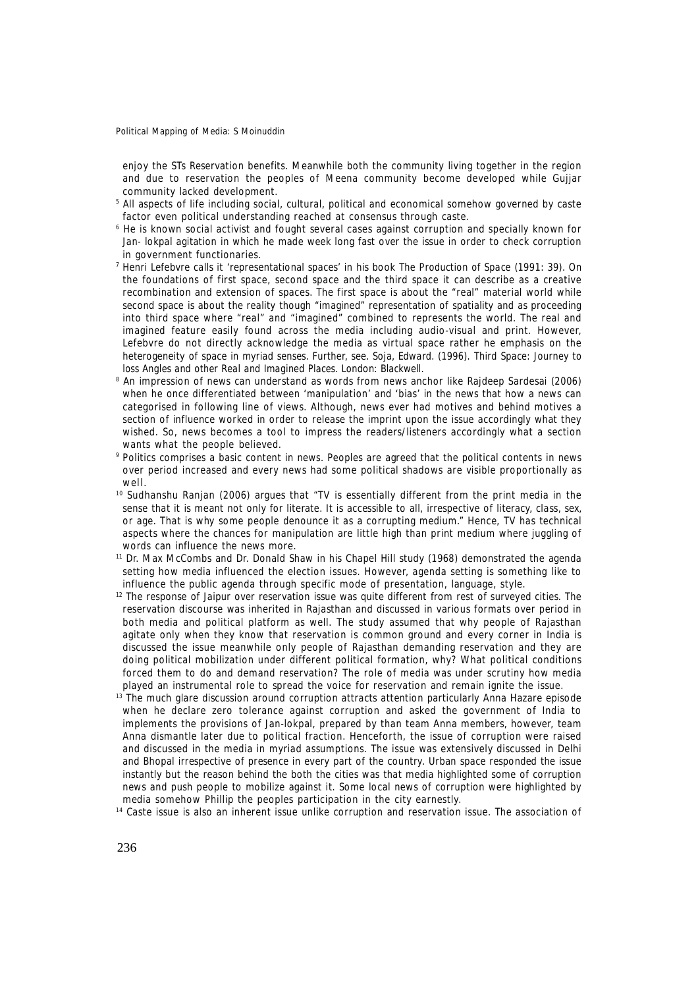enjoy the STs Reservation benefits. Meanwhile both the community living together in the region and due to reservation the peoples of Meena community become developed while Gujjar community lacked development.

- 5 All aspects of life including social, cultural, political and economical somehow governed by caste factor even political understanding reached at consensus through caste.
- $^{\rm 6}$  He is known social activist and fought several cases against corruption and specially known for Jan- lokpal agitation in which he made week long fast over the issue in order to check corruption in government functionaries.
- 7 Henri Lefebvre calls it 'representational spaces' in his book *The Production of Space* (1991: 39). On the foundations of first space, second space and the third space it can describe as a creative recombination and extension of spaces. The first space is about the "real" material world while second space is about the reality though "imagined" representation of spatiality and as proceeding into third space where "real" and "imagined" combined to represents the world. The real and imagined feature easily found across the media including audio-visual and print. However, Lefebvre do not directly acknowledge the media as virtual space rather he emphasis on the heterogeneity of space in myriad senses. Further, see. Soja, Edward. (1996). *Third Space: Journey to loss Angles and other Real and Imagined Places.* London: Blackwell.
- 8 An impression of news can understand as words from news anchor like Rajdeep Sardesai (2006) when he once differentiated between 'manipulation' and 'bias' in the news that how a news can categorised in following line of views. Although, news ever had motives and behind motives a section of influence worked in order to release the imprint upon the issue accordingly what they wished. So, news becomes a tool to impress the readers/listeners accordingly what a section wants what the people believed.
- 9 Politics comprises a basic content in news. Peoples are agreed that the political contents in news over period increased and every news had some political shadows are visible proportionally as well.
- $10$  Sudhanshu Ranjan (2006) argues that "TV is essentially different from the print media in the sense that it is meant not only for literate. It is accessible to all, irrespective of literacy, class, sex, or age. That is why some people denounce it as a corrupting medium." Hence, TV has technical aspects where the chances for manipulation are little high than print medium where juggling of words can influence the news more.
- <sup>11</sup> Dr. Max McCombs and Dr. Donald Shaw in his Chapel Hill study (1968) demonstrated the agenda setting how media influenced the election issues. However, agenda setting is something like to influence the public agenda through specific mode of presentation, language, style.
- <sup>12</sup> The response of Jaipur over reservation issue was quite different from rest of surveyed cities. The reservation discourse was inherited in Rajasthan and discussed in various formats over period in both media and political platform as well. The study assumed that why people of Rajasthan agitate only when they know that reservation is common ground and every corner in India is discussed the issue meanwhile only people of Rajasthan demanding reservation and they are doing political mobilization under different political formation, why? What political conditions forced them to do and demand reservation? The role of media was under scrutiny how media played an instrumental role to spread the voice for reservation and remain ignite the issue.
- $13$  The much glare discussion around corruption attracts attention particularly Anna Hazare episode when he declare zero tolerance against corruption and asked the government of India to implements the provisions of Jan-lokpal, prepared by than team Anna members, however, team Anna dismantle later due to political fraction. Henceforth, the issue of corruption were raised and discussed in the media in myriad assumptions. The issue was extensively discussed in Delhi and Bhopal irrespective of presence in every part of the country. Urban space responded the issue instantly but the reason behind the both the cities was that media highlighted some of corruption news and push people to mobilize against it. Some local news of corruption were highlighted by media somehow Phillip the peoples participation in the city earnestly.
- <sup>14</sup> Caste issue is also an inherent issue unlike corruption and reservation issue. The association of